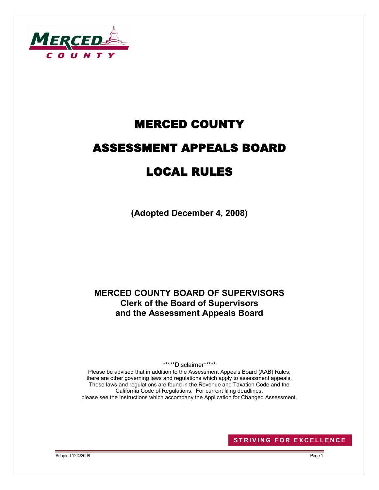

# MERCED COUNTY ASSESSMENT APPEALS BOARD LOCAL RULES

**(Adopted December 4, 2008)**

## **MERCED COUNTY BOARD OF SUPERVISORS Clerk of the Board of Supervisors and the Assessment Appeals Board**

\*\*\*\*\*Disclaimer\*\*\*\*\*

Please be advised that in addition to the Assessment Appeals Board (AAB) Rules, there are other governing laws and regulations which apply to assessment appeals. Those laws and regulations are found in the Revenue and Taxation Code and the California Code of Regulations. For current filing deadlines, please see the Instructions which accompany the Application for Changed Assessment.

**STRIVING FOR EXCELLENCE** 

Adopted 12/4/2008 Page 1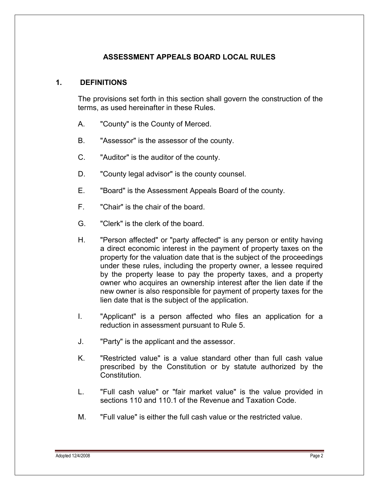## **ASSESSMENT APPEALS BOARD LOCAL RULES**

#### **1. DEFINITIONS**

The provisions set forth in this section shall govern the construction of the terms, as used hereinafter in these Rules.

- A. "County" is the County of Merced.
- B. "Assessor" is the assessor of the county.
- C. "Auditor" is the auditor of the county.
- D. "County legal advisor" is the county counsel.
- E. "Board" is the Assessment Appeals Board of the county.
- F. "Chair" is the chair of the board.
- G. "Clerk" is the clerk of the board.
- H. "Person affected" or "party affected" is any person or entity having a direct economic interest in the payment of property taxes on the property for the valuation date that is the subject of the proceedings under these rules, including the property owner, a lessee required by the property lease to pay the property taxes, and a property owner who acquires an ownership interest after the lien date if the new owner is also responsible for payment of property taxes for the lien date that is the subject of the application.
- I. "Applicant" is a person affected who files an application for a reduction in assessment pursuant to Rule 5.
- J. "Party" is the applicant and the assessor.
- K. "Restricted value" is a value standard other than full cash value prescribed by the Constitution or by statute authorized by the Constitution.
- L. "Full cash value" or "fair market value" is the value provided in sections 110 and 110.1 of the Revenue and Taxation Code.
- M. "Full value" is either the full cash value or the restricted value.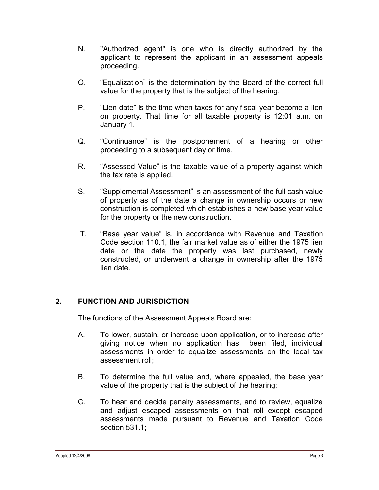- N. "Authorized agent" is one who is directly authorized by the applicant to represent the applicant in an assessment appeals proceeding.
- O. "Equalization" is the determination by the Board of the correct full value for the property that is the subject of the hearing.
- P. "Lien date" is the time when taxes for any fiscal year become a lien on property. That time for all taxable property is 12:01 a.m. on January 1.
- Q. "Continuance" is the postponement of a hearing or other proceeding to a subsequent day or time.
- R. "Assessed Value" is the taxable value of a property against which the tax rate is applied.
- S. "Supplemental Assessment" is an assessment of the full cash value of property as of the date a change in ownership occurs or new construction is completed which establishes a new base year value for the property or the new construction.
- T. "Base year value" is, in accordance with Revenue and Taxation Code section 110.1, the fair market value as of either the 1975 lien date or the date the property was last purchased, newly constructed, or underwent a change in ownership after the 1975 lien date.

## **2. FUNCTION AND JURISDICTION**

The functions of the Assessment Appeals Board are:

- A. To lower, sustain, or increase upon application, or to increase after giving notice when no application has been filed, individual assessments in order to equalize assessments on the local tax assessment roll;
- B. To determine the full value and, where appealed, the base year value of the property that is the subject of the hearing;
- C. To hear and decide penalty assessments, and to review, equalize and adjust escaped assessments on that roll except escaped assessments made pursuant to Revenue and Taxation Code section 531.1;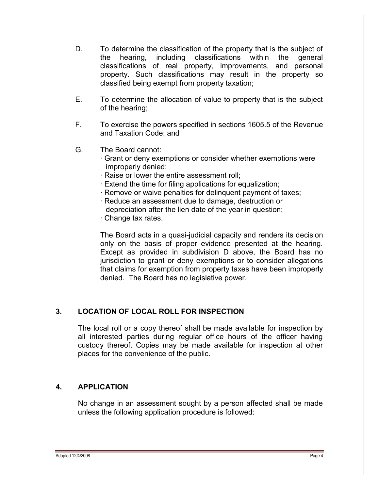- D. To determine the classification of the property that is the subject of the hearing, including classifications within the general classifications of real property, improvements, and personal property. Such classifications may result in the property so classified being exempt from property taxation;
- E. To determine the allocation of value to property that is the subject of the hearing;
- F. To exercise the powers specified in sections 1605.5 of the Revenue and Taxation Code; and
- G. The Board cannot:
	- · Grant or deny exemptions or consider whether exemptions were improperly denied;
	- · Raise or lower the entire assessment roll;
	- · Extend the time for filing applications for equalization;
	- · Remove or waive penalties for delinquent payment of taxes;
	- · Reduce an assessment due to damage, destruction or depreciation after the lien date of the year in question;
	- · Change tax rates.

The Board acts in a quasi-judicial capacity and renders its decision only on the basis of proper evidence presented at the hearing. Except as provided in subdivision D above, the Board has no jurisdiction to grant or deny exemptions or to consider allegations that claims for exemption from property taxes have been improperly denied. The Board has no legislative power.

#### **3. LOCATION OF LOCAL ROLL FOR INSPECTION**

The local roll or a copy thereof shall be made available for inspection by all interested parties during regular office hours of the officer having custody thereof. Copies may be made available for inspection at other places for the convenience of the public.

#### **4. APPLICATION**

No change in an assessment sought by a person affected shall be made unless the following application procedure is followed: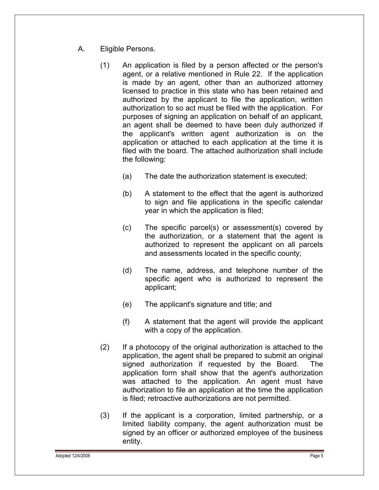- A. Eligible Persons.
	- (1) An application is filed by a person affected or the person's agent, or a relative mentioned in Rule 22. If the application is made by an agent, other than an authorized attorney licensed to practice in this state who has been retained and authorized by the applicant to file the application, written authorization to so act must be filed with the application. For purposes of signing an application on behalf of an applicant, an agent shall be deemed to have been duly authorized if the applicant's written agent authorization is on the application or attached to each application at the time it is filed with the board. The attached authorization shall include the following:
		- (a) The date the authorization statement is executed;
		- (b) A statement to the effect that the agent is authorized to sign and file applications in the specific calendar year in which the application is filed;
		- (c) The specific parcel(s) or assessment(s) covered by the authorization, or a statement that the agent is authorized to represent the applicant on all parcels and assessments located in the specific county;
		- (d) The name, address, and telephone number of the specific agent who is authorized to represent the applicant;
		- (e) The applicant's signature and title; and
		- (f) A statement that the agent will provide the applicant with a copy of the application.
	- (2) If a photocopy of the original authorization is attached to the application, the agent shall be prepared to submit an original signed authorization if requested by the Board. The application form shall show that the agent's authorization was attached to the application. An agent must have authorization to file an application at the time the application is filed; retroactive authorizations are not permitted.
	- (3) If the applicant is a corporation, limited partnership, or a limited liability company, the agent authorization must be signed by an officer or authorized employee of the business entity.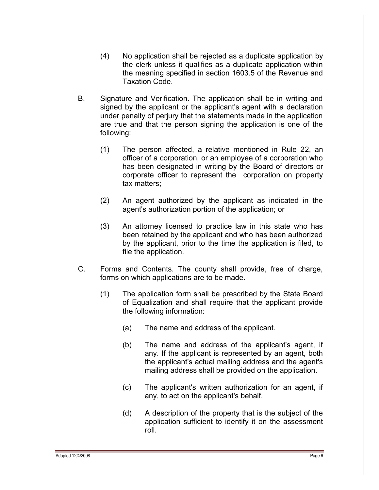- (4) No application shall be rejected as a duplicate application by the clerk unless it qualifies as a duplicate application within the meaning specified in section 1603.5 of the Revenue and Taxation Code.
- B. Signature and Verification. The application shall be in writing and signed by the applicant or the applicant's agent with a declaration under penalty of perjury that the statements made in the application are true and that the person signing the application is one of the following:
	- (1) The person affected, a relative mentioned in Rule 22, an officer of a corporation, or an employee of a corporation who has been designated in writing by the Board of directors or corporate officer to represent the corporation on property tax matters;
	- (2) An agent authorized by the applicant as indicated in the agent's authorization portion of the application; or
	- (3) An attorney licensed to practice law in this state who has been retained by the applicant and who has been authorized by the applicant, prior to the time the application is filed, to file the application.
- C. Forms and Contents. The county shall provide, free of charge, forms on which applications are to be made.
	- (1) The application form shall be prescribed by the State Board of Equalization and shall require that the applicant provide the following information:
		- (a) The name and address of the applicant.
		- (b) The name and address of the applicant's agent, if any. If the applicant is represented by an agent, both the applicant's actual mailing address and the agent's mailing address shall be provided on the application.
		- (c) The applicant's written authorization for an agent, if any, to act on the applicant's behalf.
		- (d) A description of the property that is the subject of the application sufficient to identify it on the assessment roll.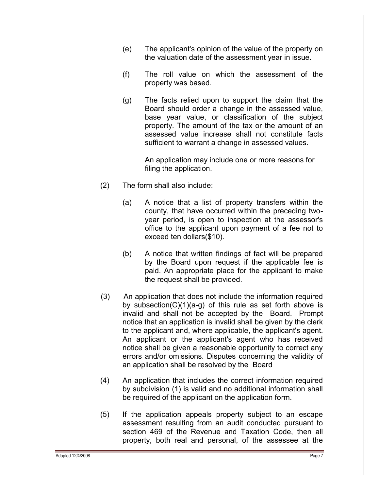- (e) The applicant's opinion of the value of the property on the valuation date of the assessment year in issue.
- (f) The roll value on which the assessment of the property was based.
- (g) The facts relied upon to support the claim that the Board should order a change in the assessed value, base year value, or classification of the subject property. The amount of the tax or the amount of an assessed value increase shall not constitute facts sufficient to warrant a change in assessed values.

An application may include one or more reasons for filing the application.

- (2) The form shall also include:
	- (a) A notice that a list of property transfers within the county, that have occurred within the preceding twoyear period, is open to inspection at the assessor's office to the applicant upon payment of a fee not to exceed ten dollars(\$10).
	- (b) A notice that written findings of fact will be prepared by the Board upon request if the applicable fee is paid. An appropriate place for the applicant to make the request shall be provided.
- (3) An application that does not include the information required by subsection( $C(1)(a-q)$  of this rule as set forth above is invalid and shall not be accepted by the Board. Prompt notice that an application is invalid shall be given by the clerk to the applicant and, where applicable, the applicant's agent. An applicant or the applicant's agent who has received notice shall be given a reasonable opportunity to correct any errors and/or omissions. Disputes concerning the validity of an application shall be resolved by the Board
- (4) An application that includes the correct information required by subdivision (1) is valid and no additional information shall be required of the applicant on the application form.
- (5) If the application appeals property subject to an escape assessment resulting from an audit conducted pursuant to section 469 of the Revenue and Taxation Code, then all property, both real and personal, of the assessee at the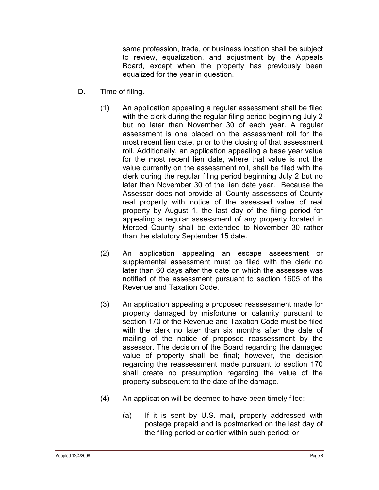same profession, trade, or business location shall be subject to review, equalization, and adjustment by the Appeals Board, except when the property has previously been equalized for the year in question.

- D. Time of filing.
	- (1) An application appealing a regular assessment shall be filed with the clerk during the regular filing period beginning July 2 but no later than November 30 of each year. A regular assessment is one placed on the assessment roll for the most recent lien date, prior to the closing of that assessment roll. Additionally, an application appealing a base year value for the most recent lien date, where that value is not the value currently on the assessment roll, shall be filed with the clerk during the regular filing period beginning July 2 but no later than November 30 of the lien date year. Because the Assessor does not provide all County assessees of County real property with notice of the assessed value of real property by August 1, the last day of the filing period for appealing a regular assessment of any property located in Merced County shall be extended to November 30 rather than the statutory September 15 date.
	- (2) An application appealing an escape assessment or supplemental assessment must be filed with the clerk no later than 60 days after the date on which the assessee was notified of the assessment pursuant to section 1605 of the Revenue and Taxation Code.
	- (3) An application appealing a proposed reassessment made for property damaged by misfortune or calamity pursuant to section 170 of the Revenue and Taxation Code must be filed with the clerk no later than six months after the date of mailing of the notice of proposed reassessment by the assessor. The decision of the Board regarding the damaged value of property shall be final; however, the decision regarding the reassessment made pursuant to section 170 shall create no presumption regarding the value of the property subsequent to the date of the damage.
	- (4) An application will be deemed to have been timely filed:
		- (a) If it is sent by U.S. mail, properly addressed with postage prepaid and is postmarked on the last day of the filing period or earlier within such period; or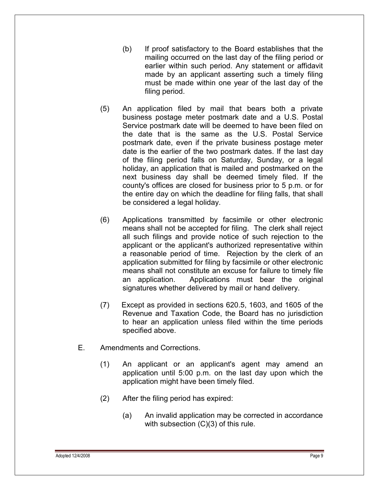- (b) If proof satisfactory to the Board establishes that the mailing occurred on the last day of the filing period or earlier within such period. Any statement or affidavit made by an applicant asserting such a timely filing must be made within one year of the last day of the filing period.
- (5) An application filed by mail that bears both a private business postage meter postmark date and a U.S. Postal Service postmark date will be deemed to have been filed on the date that is the same as the U.S. Postal Service postmark date, even if the private business postage meter date is the earlier of the two postmark dates. If the last day of the filing period falls on Saturday, Sunday, or a legal holiday, an application that is mailed and postmarked on the next business day shall be deemed timely filed. If the county's offices are closed for business prior to 5 p.m. or for the entire day on which the deadline for filing falls, that shall be considered a legal holiday.
- (6) Applications transmitted by facsimile or other electronic means shall not be accepted for filing. The clerk shall reject all such filings and provide notice of such rejection to the applicant or the applicant's authorized representative within a reasonable period of time. Rejection by the clerk of an application submitted for filing by facsimile or other electronic means shall not constitute an excuse for failure to timely file an application. Applications must bear the original signatures whether delivered by mail or hand delivery.
- (7) Except as provided in sections 620.5, 1603, and 1605 of the Revenue and Taxation Code, the Board has no jurisdiction to hear an application unless filed within the time periods specified above.
- E. Amendments and Corrections.
	- (1) An applicant or an applicant's agent may amend an application until 5:00 p.m. on the last day upon which the application might have been timely filed.
	- (2) After the filing period has expired:
		- (a) An invalid application may be corrected in accordance with subsection (C)(3) of this rule.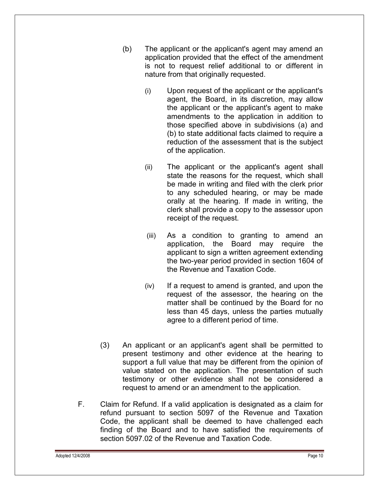- (b) The applicant or the applicant's agent may amend an application provided that the effect of the amendment is not to request relief additional to or different in nature from that originally requested.
	- (i) Upon request of the applicant or the applicant's agent, the Board, in its discretion, may allow the applicant or the applicant's agent to make amendments to the application in addition to those specified above in subdivisions (a) and (b) to state additional facts claimed to require a reduction of the assessment that is the subject of the application.
	- (ii) The applicant or the applicant's agent shall state the reasons for the request, which shall be made in writing and filed with the clerk prior to any scheduled hearing, or may be made orally at the hearing. If made in writing, the clerk shall provide a copy to the assessor upon receipt of the request.
	- (iii) As a condition to granting to amend an application, the Board may require the applicant to sign a written agreement extending the two-year period provided in section 1604 of the Revenue and Taxation Code.
	- (iv) If a request to amend is granted, and upon the request of the assessor, the hearing on the matter shall be continued by the Board for no less than 45 days, unless the parties mutually agree to a different period of time.
- (3) An applicant or an applicant's agent shall be permitted to present testimony and other evidence at the hearing to support a full value that may be different from the opinion of value stated on the application. The presentation of such testimony or other evidence shall not be considered a request to amend or an amendment to the application.
- F. Claim for Refund. If a valid application is designated as a claim for refund pursuant to section 5097 of the Revenue and Taxation Code, the applicant shall be deemed to have challenged each finding of the Board and to have satisfied the requirements of section 5097.02 of the Revenue and Taxation Code.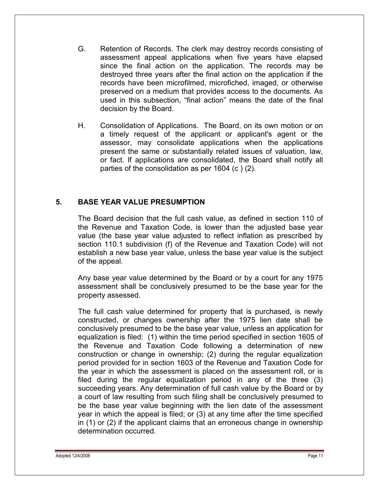- G. Retention of Records. The clerk may destroy records consisting of assessment appeal applications when five years have elapsed since the final action on the application. The records may be destroyed three years after the final action on the application if the records have been microfilmed, microfiched, imaged, or otherwise preserved on a medium that provides access to the documents. As used in this subsection, "final action" means the date of the final decision by the Board.
- H. Consolidation of Applications. The Board, on its own motion or on a timely request of the applicant or applicant's agent or the assessor, may consolidate applications when the applications present the same or substantially related issues of valuation, law, or fact. If applications are consolidated, the Board shall notify all parties of the consolidation as per 1604 (c ) (2).

## **5. BASE YEAR VALUE PRESUMPTION**

The Board decision that the full cash value, as defined in section 110 of the Revenue and Taxation Code, is lower than the adjusted base year value (the base year value adjusted to reflect inflation as prescribed by section 110.1 subdivision (f) of the Revenue and Taxation Code) will not establish a new base year value, unless the base year value is the subject of the appeal.

Any base year value determined by the Board or by a court for any 1975 assessment shall be conclusively presumed to be the base year for the property assessed.

The full cash value determined for property that is purchased, is newly constructed, or changes ownership after the 1975 lien date shall be conclusively presumed to be the base year value, unless an application for equalization is filed: (1) within the time period specified in section 1605 of the Revenue and Taxation Code following a determination of new construction or change in ownership; (2) during the regular equalization period provided for in section 1603 of the Revenue and Taxation Code for the year in which the assessment is placed on the assessment roll, or is filed during the regular equalization period in any of the three (3) succeeding years. Any determination of full cash value by the Board or by a court of law resulting from such filing shall be conclusively presumed to be the base year value beginning with the lien date of the assessment year in which the appeal is filed; or (3) at any time after the time specified in (1) or (2) if the applicant claims that an erroneous change in ownership determination occurred.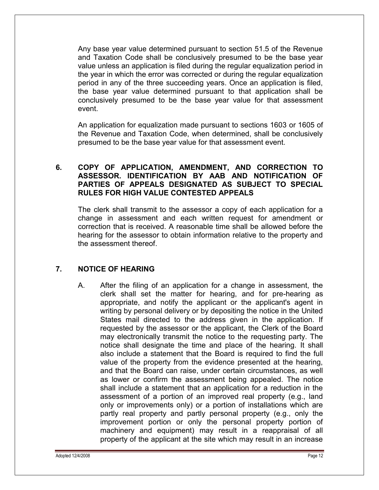Any base year value determined pursuant to section 51.5 of the Revenue and Taxation Code shall be conclusively presumed to be the base year value unless an application is filed during the regular equalization period in the year in which the error was corrected or during the regular equalization period in any of the three succeeding years. Once an application is filed, the base year value determined pursuant to that application shall be conclusively presumed to be the base year value for that assessment event.

An application for equalization made pursuant to sections 1603 or 1605 of the Revenue and Taxation Code, when determined, shall be conclusively presumed to be the base year value for that assessment event.

## **6. COPY OF APPLICATION, AMENDMENT, AND CORRECTION TO ASSESSOR. IDENTIFICATION BY AAB AND NOTIFICATION OF PARTIES OF APPEALS DESIGNATED AS SUBJECT TO SPECIAL RULES FOR HIGH VALUE CONTESTED APPEALS**

The clerk shall transmit to the assessor a copy of each application for a change in assessment and each written request for amendment or correction that is received. A reasonable time shall be allowed before the hearing for the assessor to obtain information relative to the property and the assessment thereof.

## **7. NOTICE OF HEARING**

A. After the filing of an application for a change in assessment, the clerk shall set the matter for hearing, and for pre-hearing as appropriate, and notify the applicant or the applicant's agent in writing by personal delivery or by depositing the notice in the United States mail directed to the address given in the application. If requested by the assessor or the applicant, the Clerk of the Board may electronically transmit the notice to the requesting party. The notice shall designate the time and place of the hearing. It shall also include a statement that the Board is required to find the full value of the property from the evidence presented at the hearing, and that the Board can raise, under certain circumstances, as well as lower or confirm the assessment being appealed. The notice shall include a statement that an application for a reduction in the assessment of a portion of an improved real property (e.g., land only or improvements only) or a portion of installations which are partly real property and partly personal property (e.g., only the improvement portion or only the personal property portion of machinery and equipment) may result in a reappraisal of all property of the applicant at the site which may result in an increase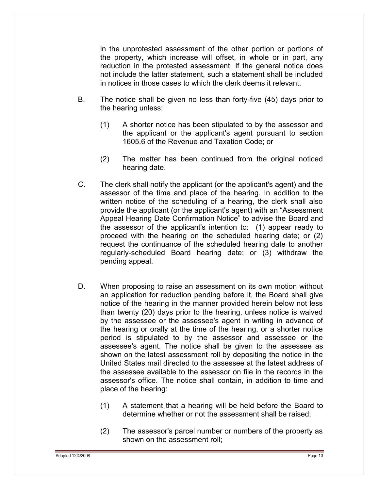in the unprotested assessment of the other portion or portions of the property, which increase will offset, in whole or in part, any reduction in the protested assessment. If the general notice does not include the latter statement, such a statement shall be included in notices in those cases to which the clerk deems it relevant.

- B. The notice shall be given no less than forty-five (45) days prior to the hearing unless:
	- (1) A shorter notice has been stipulated to by the assessor and the applicant or the applicant's agent pursuant to section 1605.6 of the Revenue and Taxation Code; or
	- (2) The matter has been continued from the original noticed hearing date.
- C. The clerk shall notify the applicant (or the applicant's agent) and the assessor of the time and place of the hearing. In addition to the written notice of the scheduling of a hearing, the clerk shall also provide the applicant (or the applicant's agent) with an "Assessment Appeal Hearing Date Confirmation Notice" to advise the Board and the assessor of the applicant's intention to: (1) appear ready to proceed with the hearing on the scheduled hearing date; or (2) request the continuance of the scheduled hearing date to another regularly-scheduled Board hearing date; or (3) withdraw the pending appeal.
- D. When proposing to raise an assessment on its own motion without an application for reduction pending before it, the Board shall give notice of the hearing in the manner provided herein below not less than twenty (20) days prior to the hearing, unless notice is waived by the assessee or the assessee's agent in writing in advance of the hearing or orally at the time of the hearing, or a shorter notice period is stipulated to by the assessor and assessee or the assessee's agent. The notice shall be given to the assessee as shown on the latest assessment roll by depositing the notice in the United States mail directed to the assessee at the latest address of the assessee available to the assessor on file in the records in the assessor's office. The notice shall contain, in addition to time and place of the hearing:
	- (1) A statement that a hearing will be held before the Board to determine whether or not the assessment shall be raised;
	- (2) The assessor's parcel number or numbers of the property as shown on the assessment roll;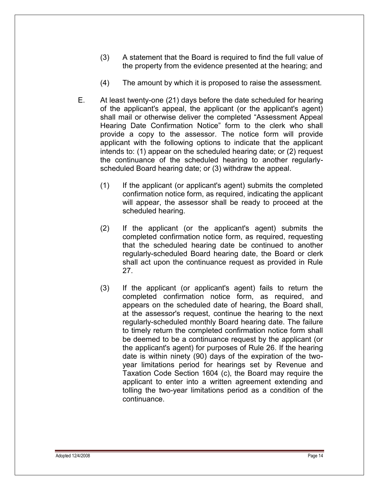- (3) A statement that the Board is required to find the full value of the property from the evidence presented at the hearing; and
- (4) The amount by which it is proposed to raise the assessment.
- E. At least twenty-one (21) days before the date scheduled for hearing of the applicant's appeal, the applicant (or the applicant's agent) shall mail or otherwise deliver the completed "Assessment Appeal Hearing Date Confirmation Notice" form to the clerk who shall provide a copy to the assessor. The notice form will provide applicant with the following options to indicate that the applicant intends to: (1) appear on the scheduled hearing date; or (2) request the continuance of the scheduled hearing to another regularlyscheduled Board hearing date; or (3) withdraw the appeal.
	- (1) If the applicant (or applicant's agent) submits the completed confirmation notice form, as required, indicating the applicant will appear, the assessor shall be ready to proceed at the scheduled hearing.
	- (2) If the applicant (or the applicant's agent) submits the completed confirmation notice form, as required, requesting that the scheduled hearing date be continued to another regularly-scheduled Board hearing date, the Board or clerk shall act upon the continuance request as provided in Rule 27.
	- (3) If the applicant (or applicant's agent) fails to return the completed confirmation notice form, as required, and appears on the scheduled date of hearing, the Board shall, at the assessor's request, continue the hearing to the next regularly-scheduled monthly Board hearing date. The failure to timely return the completed confirmation notice form shall be deemed to be a continuance request by the applicant (or the applicant's agent) for purposes of Rule 26. If the hearing date is within ninety (90) days of the expiration of the twoyear limitations period for hearings set by Revenue and Taxation Code Section 1604 (c), the Board may require the applicant to enter into a written agreement extending and tolling the two-year limitations period as a condition of the continuance.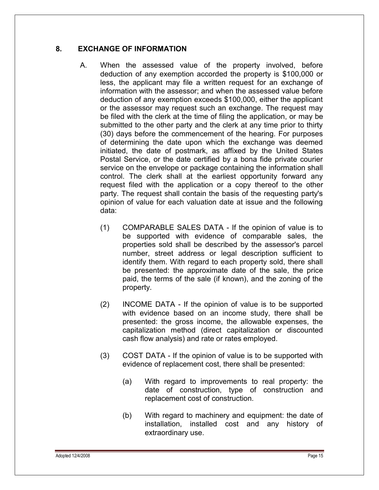## **8. EXCHANGE OF INFORMATION**

- A. When the assessed value of the property involved, before deduction of any exemption accorded the property is \$100,000 or less, the applicant may file a written request for an exchange of information with the assessor; and when the assessed value before deduction of any exemption exceeds \$100,000, either the applicant or the assessor may request such an exchange. The request may be filed with the clerk at the time of filing the application, or may be submitted to the other party and the clerk at any time prior to thirty (30) days before the commencement of the hearing. For purposes of determining the date upon which the exchange was deemed initiated, the date of postmark, as affixed by the United States Postal Service, or the date certified by a bona fide private courier service on the envelope or package containing the information shall control. The clerk shall at the earliest opportunity forward any request filed with the application or a copy thereof to the other party. The request shall contain the basis of the requesting party's opinion of value for each valuation date at issue and the following data:
	- (1) COMPARABLE SALES DATA If the opinion of value is to be supported with evidence of comparable sales, the properties sold shall be described by the assessor's parcel number, street address or legal description sufficient to identify them. With regard to each property sold, there shall be presented: the approximate date of the sale, the price paid, the terms of the sale (if known), and the zoning of the property.
	- (2) INCOME DATA If the opinion of value is to be supported with evidence based on an income study, there shall be presented: the gross income, the allowable expenses, the capitalization method (direct capitalization or discounted cash flow analysis) and rate or rates employed.
	- (3) COST DATA If the opinion of value is to be supported with evidence of replacement cost, there shall be presented:
		- (a) With regard to improvements to real property: the date of construction, type of construction and replacement cost of construction.
		- (b) With regard to machinery and equipment: the date of installation, installed cost and any history of extraordinary use.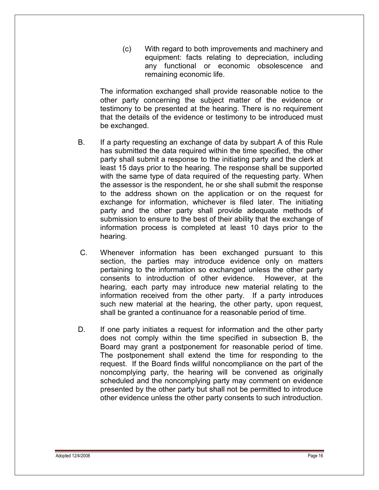(c) With regard to both improvements and machinery and equipment: facts relating to depreciation, including any functional or economic obsolescence and remaining economic life.

The information exchanged shall provide reasonable notice to the other party concerning the subject matter of the evidence or testimony to be presented at the hearing. There is no requirement that the details of the evidence or testimony to be introduced must be exchanged.

- B. If a party requesting an exchange of data by subpart A of this Rule has submitted the data required within the time specified, the other party shall submit a response to the initiating party and the clerk at least 15 days prior to the hearing. The response shall be supported with the same type of data required of the requesting party. When the assessor is the respondent, he or she shall submit the response to the address shown on the application or on the request for exchange for information, whichever is filed later. The initiating party and the other party shall provide adequate methods of submission to ensure to the best of their ability that the exchange of information process is completed at least 10 days prior to the hearing.
- C. Whenever information has been exchanged pursuant to this section, the parties may introduce evidence only on matters pertaining to the information so exchanged unless the other party consents to introduction of other evidence. However, at the hearing, each party may introduce new material relating to the information received from the other party. If a party introduces such new material at the hearing, the other party, upon request, shall be granted a continuance for a reasonable period of time.
- D. If one party initiates a request for information and the other party does not comply within the time specified in subsection B, the Board may grant a postponement for reasonable period of time. The postponement shall extend the time for responding to the request. If the Board finds willful noncompliance on the part of the noncomplying party, the hearing will be convened as originally scheduled and the noncomplying party may comment on evidence presented by the other party but shall not be permitted to introduce other evidence unless the other party consents to such introduction.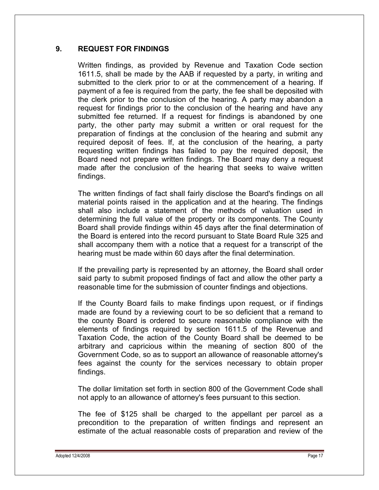## **9. REQUEST FOR FINDINGS**

Written findings, as provided by Revenue and Taxation Code section 1611.5, shall be made by the AAB if requested by a party, in writing and submitted to the clerk prior to or at the commencement of a hearing. If payment of a fee is required from the party, the fee shall be deposited with the clerk prior to the conclusion of the hearing. A party may abandon a request for findings prior to the conclusion of the hearing and have any submitted fee returned. If a request for findings is abandoned by one party, the other party may submit a written or oral request for the preparation of findings at the conclusion of the hearing and submit any required deposit of fees. If, at the conclusion of the hearing, a party requesting written findings has failed to pay the required deposit, the Board need not prepare written findings. The Board may deny a request made after the conclusion of the hearing that seeks to waive written findings.

The written findings of fact shall fairly disclose the Board's findings on all material points raised in the application and at the hearing. The findings shall also include a statement of the methods of valuation used in determining the full value of the property or its components. The County Board shall provide findings within 45 days after the final determination of the Board is entered into the record pursuant to State Board Rule 325 and shall accompany them with a notice that a request for a transcript of the hearing must be made within 60 days after the final determination.

If the prevailing party is represented by an attorney, the Board shall order said party to submit proposed findings of fact and allow the other party a reasonable time for the submission of counter findings and objections.

If the County Board fails to make findings upon request, or if findings made are found by a reviewing court to be so deficient that a remand to the county Board is ordered to secure reasonable compliance with the elements of findings required by section 1611.5 of the Revenue and Taxation Code, the action of the County Board shall be deemed to be arbitrary and capricious within the meaning of section 800 of the Government Code, so as to support an allowance of reasonable attorney's fees against the county for the services necessary to obtain proper findings.

The dollar limitation set forth in section 800 of the Government Code shall not apply to an allowance of attorney's fees pursuant to this section.

The fee of \$125 shall be charged to the appellant per parcel as a precondition to the preparation of written findings and represent an estimate of the actual reasonable costs of preparation and review of the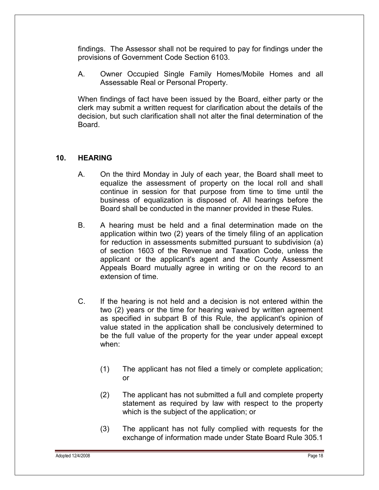findings. The Assessor shall not be required to pay for findings under the provisions of Government Code Section 6103.

A. Owner Occupied Single Family Homes/Mobile Homes and all Assessable Real or Personal Property.

When findings of fact have been issued by the Board, either party or the clerk may submit a written request for clarification about the details of the decision, but such clarification shall not alter the final determination of the Board.

#### **10. HEARING**

- A. On the third Monday in July of each year, the Board shall meet to equalize the assessment of property on the local roll and shall continue in session for that purpose from time to time until the business of equalization is disposed of. All hearings before the Board shall be conducted in the manner provided in these Rules.
- B. A hearing must be held and a final determination made on the application within two (2) years of the timely filing of an application for reduction in assessments submitted pursuant to subdivision (a) of section 1603 of the Revenue and Taxation Code, unless the applicant or the applicant's agent and the County Assessment Appeals Board mutually agree in writing or on the record to an extension of time.
- C. If the hearing is not held and a decision is not entered within the two (2) years or the time for hearing waived by written agreement as specified in subpart B of this Rule, the applicant's opinion of value stated in the application shall be conclusively determined to be the full value of the property for the year under appeal except when:
	- (1) The applicant has not filed a timely or complete application; or
	- (2) The applicant has not submitted a full and complete property statement as required by law with respect to the property which is the subject of the application; or
	- (3) The applicant has not fully complied with requests for the exchange of information made under State Board Rule 305.1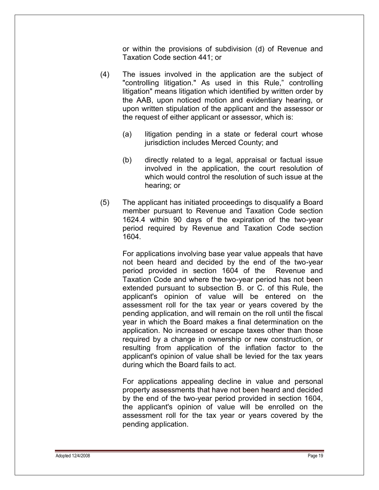or within the provisions of subdivision (d) of Revenue and Taxation Code section 441; or

- (4) The issues involved in the application are the subject of "controlling litigation." As used in this Rule," controlling litigation" means litigation which identified by written order by the AAB, upon noticed motion and evidentiary hearing, or upon written stipulation of the applicant and the assessor or the request of either applicant or assessor, which is:
	- (a) litigation pending in a state or federal court whose jurisdiction includes Merced County; and
	- (b) directly related to a legal, appraisal or factual issue involved in the application, the court resolution of which would control the resolution of such issue at the hearing; or
- (5) The applicant has initiated proceedings to disqualify a Board member pursuant to Revenue and Taxation Code section 1624.4 within 90 days of the expiration of the two-year period required by Revenue and Taxation Code section 1604.

For applications involving base year value appeals that have not been heard and decided by the end of the two-year period provided in section 1604 of the Revenue and Taxation Code and where the two-year period has not been extended pursuant to subsection B. or C. of this Rule, the applicant's opinion of value will be entered on the assessment roll for the tax year or years covered by the pending application, and will remain on the roll until the fiscal year in which the Board makes a final determination on the application. No increased or escape taxes other than those required by a change in ownership or new construction, or resulting from application of the inflation factor to the applicant's opinion of value shall be levied for the tax years during which the Board fails to act.

For applications appealing decline in value and personal property assessments that have not been heard and decided by the end of the two-year period provided in section 1604, the applicant's opinion of value will be enrolled on the assessment roll for the tax year or years covered by the pending application.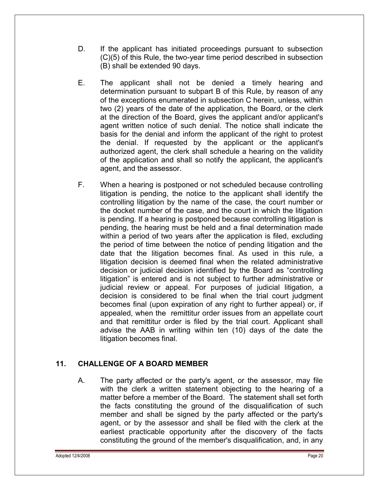- D. If the applicant has initiated proceedings pursuant to subsection (C)(5) of this Rule, the two-year time period described in subsection (B) shall be extended 90 days.
- E. The applicant shall not be denied a timely hearing and determination pursuant to subpart B of this Rule, by reason of any of the exceptions enumerated in subsection C herein, unless, within two (2) years of the date of the application, the Board, or the clerk at the direction of the Board, gives the applicant and/or applicant's agent written notice of such denial. The notice shall indicate the basis for the denial and inform the applicant of the right to protest the denial. If requested by the applicant or the applicant's authorized agent, the clerk shall schedule a hearing on the validity of the application and shall so notify the applicant, the applicant's agent, and the assessor.
- F. When a hearing is postponed or not scheduled because controlling litigation is pending, the notice to the applicant shall identify the controlling litigation by the name of the case, the court number or the docket number of the case, and the court in which the litigation is pending. If a hearing is postponed because controlling litigation is pending, the hearing must be held and a final determination made within a period of two years after the application is filed, excluding the period of time between the notice of pending litigation and the date that the litigation becomes final. As used in this rule, a litigation decision is deemed final when the related administrative decision or judicial decision identified by the Board as "controlling litigation" is entered and is not subject to further administrative or judicial review or appeal. For purposes of judicial litigation, a decision is considered to be final when the trial court judgment becomes final (upon expiration of any right to further appeal) or, if appealed, when the remittitur order issues from an appellate court and that remittitur order is filed by the trial court. Applicant shall advise the AAB in writing within ten (10) days of the date the litigation becomes final.

## **11. CHALLENGE OF A BOARD MEMBER**

A. The party affected or the party's agent, or the assessor, may file with the clerk a written statement objecting to the hearing of a matter before a member of the Board. The statement shall set forth the facts constituting the ground of the disqualification of such member and shall be signed by the party affected or the party's agent, or by the assessor and shall be filed with the clerk at the earliest practicable opportunity after the discovery of the facts constituting the ground of the member's disqualification, and, in any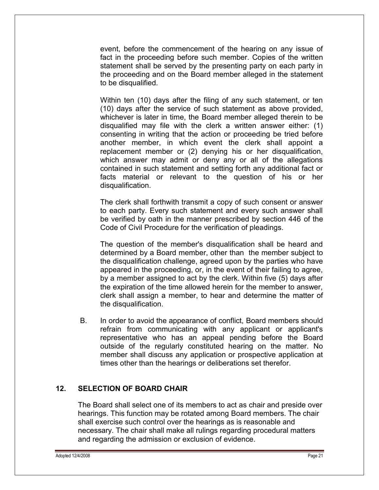event, before the commencement of the hearing on any issue of fact in the proceeding before such member. Copies of the written statement shall be served by the presenting party on each party in the proceeding and on the Board member alleged in the statement to be disqualified.

Within ten (10) days after the filing of any such statement, or ten (10) days after the service of such statement as above provided, whichever is later in time, the Board member alleged therein to be disqualified may file with the clerk a written answer either: (1) consenting in writing that the action or proceeding be tried before another member, in which event the clerk shall appoint a replacement member or (2) denying his or her disqualification, which answer may admit or deny any or all of the allegations contained in such statement and setting forth any additional fact or facts material or relevant to the question of his or her disqualification.

The clerk shall forthwith transmit a copy of such consent or answer to each party. Every such statement and every such answer shall be verified by oath in the manner prescribed by section 446 of the Code of Civil Procedure for the verification of pleadings.

The question of the member's disqualification shall be heard and determined by a Board member, other than the member subject to the disqualification challenge, agreed upon by the parties who have appeared in the proceeding, or, in the event of their failing to agree, by a member assigned to act by the clerk. Within five (5) days after the expiration of the time allowed herein for the member to answer, clerk shall assign a member, to hear and determine the matter of the disqualification.

B. In order to avoid the appearance of conflict, Board members should refrain from communicating with any applicant or applicant's representative who has an appeal pending before the Board outside of the regularly constituted hearing on the matter. No member shall discuss any application or prospective application at times other than the hearings or deliberations set therefor.

## **12. SELECTION OF BOARD CHAIR**

The Board shall select one of its members to act as chair and preside over hearings. This function may be rotated among Board members. The chair shall exercise such control over the hearings as is reasonable and necessary. The chair shall make all rulings regarding procedural matters and regarding the admission or exclusion of evidence.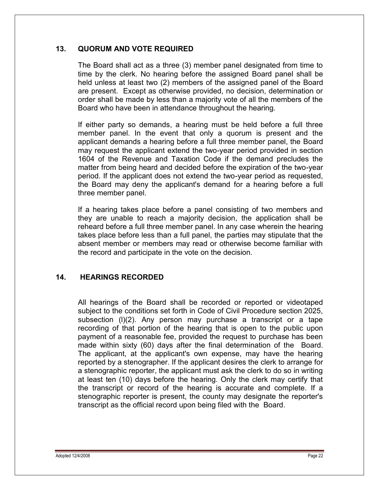## **13. QUORUM AND VOTE REQUIRED**

The Board shall act as a three (3) member panel designated from time to time by the clerk. No hearing before the assigned Board panel shall be held unless at least two (2) members of the assigned panel of the Board are present. Except as otherwise provided, no decision, determination or order shall be made by less than a majority vote of all the members of the Board who have been in attendance throughout the hearing.

If either party so demands, a hearing must be held before a full three member panel. In the event that only a quorum is present and the applicant demands a hearing before a full three member panel, the Board may request the applicant extend the two-year period provided in section 1604 of the Revenue and Taxation Code if the demand precludes the matter from being heard and decided before the expiration of the two-year period. If the applicant does not extend the two-year period as requested, the Board may deny the applicant's demand for a hearing before a full three member panel.

If a hearing takes place before a panel consisting of two members and they are unable to reach a majority decision, the application shall be reheard before a full three member panel. In any case wherein the hearing takes place before less than a full panel, the parties may stipulate that the absent member or members may read or otherwise become familiar with the record and participate in the vote on the decision.

## **14. HEARINGS RECORDED**

All hearings of the Board shall be recorded or reported or videotaped subject to the conditions set forth in Code of Civil Procedure section 2025, subsection (l)(2). Any person may purchase a transcript or a tape recording of that portion of the hearing that is open to the public upon payment of a reasonable fee, provided the request to purchase has been made within sixty (60) days after the final determination of the Board. The applicant, at the applicant's own expense, may have the hearing reported by a stenographer. If the applicant desires the clerk to arrange for a stenographic reporter, the applicant must ask the clerk to do so in writing at least ten (10) days before the hearing. Only the clerk may certify that the transcript or record of the hearing is accurate and complete. If a stenographic reporter is present, the county may designate the reporter's transcript as the official record upon being filed with the Board.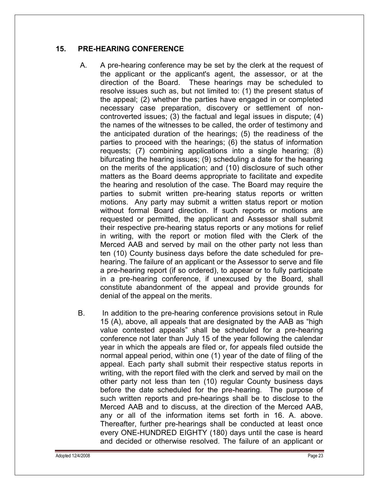## **15. PRE-HEARING CONFERENCE**

- A. A pre-hearing conference may be set by the clerk at the request of the applicant or the applicant's agent, the assessor, or at the direction of the Board. These hearings may be scheduled to resolve issues such as, but not limited to: (1) the present status of the appeal; (2) whether the parties have engaged in or completed necessary case preparation, discovery or settlement of noncontroverted issues; (3) the factual and legal issues in dispute; (4) the names of the witnesses to be called, the order of testimony and the anticipated duration of the hearings; (5) the readiness of the parties to proceed with the hearings; (6) the status of information requests; (7) combining applications into a single hearing; (8) bifurcating the hearing issues; (9) scheduling a date for the hearing on the merits of the application; and (10) disclosure of such other matters as the Board deems appropriate to facilitate and expedite the hearing and resolution of the case. The Board may require the parties to submit written pre-hearing status reports or written motions. Any party may submit a written status report or motion without formal Board direction. If such reports or motions are requested or permitted, the applicant and Assessor shall submit their respective pre-hearing status reports or any motions for relief in writing, with the report or motion filed with the Clerk of the Merced AAB and served by mail on the other party not less than ten (10) County business days before the date scheduled for prehearing. The failure of an applicant or the Assessor to serve and file a pre-hearing report (if so ordered), to appear or to fully participate in a pre-hearing conference, if unexcused by the Board, shall constitute abandonment of the appeal and provide grounds for denial of the appeal on the merits.
- B. In addition to the pre-hearing conference provisions setout in Rule 15 (A), above, all appeals that are designated by the AAB as "high value contested appeals" shall be scheduled for a pre-hearing conference not later than July 15 of the year following the calendar year in which the appeals are filed or, for appeals filed outside the normal appeal period, within one (1) year of the date of filing of the appeal. Each party shall submit their respective status reports in writing, with the report filed with the clerk and served by mail on the other party not less than ten (10) regular County business days before the date scheduled for the pre-hearing. The purpose of such written reports and pre-hearings shall be to disclose to the Merced AAB and to discuss, at the direction of the Merced AAB, any or all of the information items set forth in 16. A. above. Thereafter, further pre-hearings shall be conducted at least once every ONE-HUNDRED EIGHTY (180) days until the case is heard and decided or otherwise resolved. The failure of an applicant or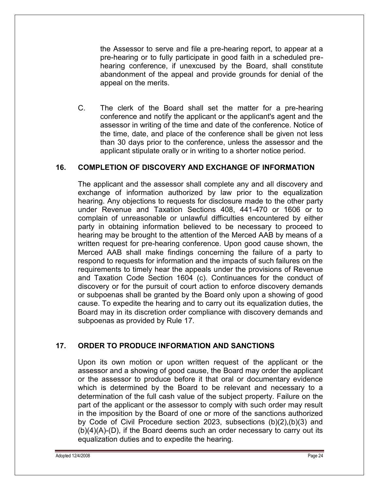the Assessor to serve and file a pre-hearing report, to appear at a pre-hearing or to fully participate in good faith in a scheduled prehearing conference, if unexcused by the Board, shall constitute abandonment of the appeal and provide grounds for denial of the appeal on the merits.

C. The clerk of the Board shall set the matter for a pre-hearing conference and notify the applicant or the applicant's agent and the assessor in writing of the time and date of the conference. Notice of the time, date, and place of the conference shall be given not less than 30 days prior to the conference, unless the assessor and the applicant stipulate orally or in writing to a shorter notice period.

#### **16. COMPLETION OF DISCOVERY AND EXCHANGE OF INFORMATION**

The applicant and the assessor shall complete any and all discovery and exchange of information authorized by law prior to the equalization hearing. Any objections to requests for disclosure made to the other party under Revenue and Taxation Sections 408, 441-470 or 1606 or to complain of unreasonable or unlawful difficulties encountered by either party in obtaining information believed to be necessary to proceed to hearing may be brought to the attention of the Merced AAB by means of a written request for pre-hearing conference. Upon good cause shown, the Merced AAB shall make findings concerning the failure of a party to respond to requests for information and the impacts of such failures on the requirements to timely hear the appeals under the provisions of Revenue and Taxation Code Section 1604 (c). Continuances for the conduct of discovery or for the pursuit of court action to enforce discovery demands or subpoenas shall be granted by the Board only upon a showing of good cause. To expedite the hearing and to carry out its equalization duties, the Board may in its discretion order compliance with discovery demands and subpoenas as provided by Rule 17.

#### **17. ORDER TO PRODUCE INFORMATION AND SANCTIONS**

Upon its own motion or upon written request of the applicant or the assessor and a showing of good cause, the Board may order the applicant or the assessor to produce before it that oral or documentary evidence which is determined by the Board to be relevant and necessary to a determination of the full cash value of the subject property. Failure on the part of the applicant or the assessor to comply with such order may result in the imposition by the Board of one or more of the sanctions authorized by Code of Civil Procedure section 2023, subsections (b)(2),(b)(3) and  $(b)(4)(A)-(D)$ , if the Board deems such an order necessary to carry out its equalization duties and to expedite the hearing.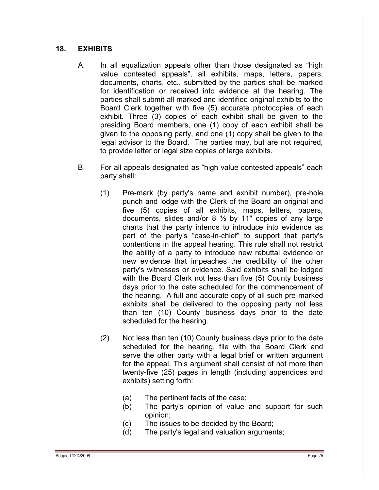## **18. EXHIBITS**

- A. In all equalization appeals other than those designated as "high value contested appeals", all exhibits, maps, letters, papers, documents, charts, etc., submitted by the parties shall be marked for identification or received into evidence at the hearing. The parties shall submit all marked and identified original exhibits to the Board Clerk together with five (5) accurate photocopies of each exhibit. Three (3) copies of each exhibit shall be given to the presiding Board members, one (1) copy of each exhibit shall be given to the opposing party, and one (1) copy shall be given to the legal advisor to the Board. The parties may, but are not required, to provide letter or legal size copies of large exhibits.
- B. For all appeals designated as "high value contested appeals" each party shall:
	- (1) Pre-mark (by party's name and exhibit number), pre-hole punch and lodge with the Clerk of the Board an original and five (5) copies of all exhibits, maps, letters, papers, documents, slides and/or  $8\frac{1}{2}$  by 11" copies of any large charts that the party intends to introduce into evidence as part of the party's "case-in-chief" to support that party's contentions in the appeal hearing. This rule shall not restrict the ability of a party to introduce new rebuttal evidence or new evidence that impeaches the credibility of the other party's witnesses or evidence. Said exhibits shall be lodged with the Board Clerk not less than five (5) County business days prior to the date scheduled for the commencement of the hearing. A full and accurate copy of all such pre-marked exhibits shall be delivered to the opposing party not less than ten (10) County business days prior to the date scheduled for the hearing.
	- (2) Not less than ten (10) County business days prior to the date scheduled for the hearing, file with the Board Clerk and serve the other party with a legal brief or written argument for the appeal. This argument shall consist of not more than twenty-five (25) pages in length (including appendices and exhibits) setting forth:
		- (a) The pertinent facts of the case;
		- (b) The party's opinion of value and support for such opinion;
		- (c) The issues to be decided by the Board;
		- (d) The party's legal and valuation arguments;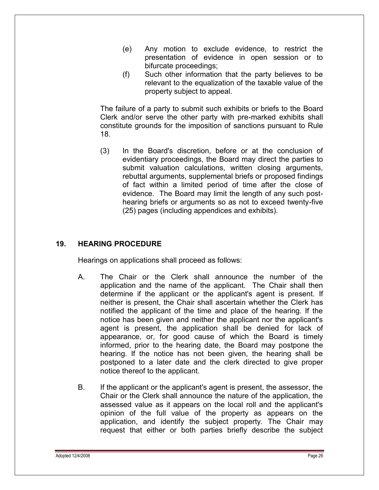- (e) Any motion to exclude evidence, to restrict the presentation of evidence in open session or to bifurcate proceedings;
- (f) Such other information that the party believes to be relevant to the equalization of the taxable value of the property subject to appeal.

The failure of a party to submit such exhibits or briefs to the Board Clerk and/or serve the other party with pre-marked exhibits shall constitute grounds for the imposition of sanctions pursuant to Rule 18.

(3) In the Board's discretion, before or at the conclusion of evidentiary proceedings, the Board may direct the parties to submit valuation calculations, written closing arguments, rebuttal arguments, supplemental briefs or proposed findings of fact within a limited period of time after the close of evidence. The Board may limit the length of any such posthearing briefs or arguments so as not to exceed twenty-five (25) pages (including appendices and exhibits).

## **19. HEARING PROCEDURE**

Hearings on applications shall proceed as follows:

- A. The Chair or the Clerk shall announce the number of the application and the name of the applicant. The Chair shall then determine if the applicant or the applicant's agent is present. If neither is present, the Chair shall ascertain whether the Clerk has notified the applicant of the time and place of the hearing. If the notice has been given and neither the applicant nor the applicant's agent is present, the application shall be denied for lack of appearance, or, for good cause of which the Board is timely informed, prior to the hearing date, the Board may postpone the hearing. If the notice has not been given, the hearing shall be postponed to a later date and the clerk directed to give proper notice thereof to the applicant.
- B. If the applicant or the applicant's agent is present, the assessor, the Chair or the Clerk shall announce the nature of the application, the assessed value as it appears on the local roll and the applicant's opinion of the full value of the property as appears on the application, and identify the subject property. The Chair may request that either or both parties briefly describe the subject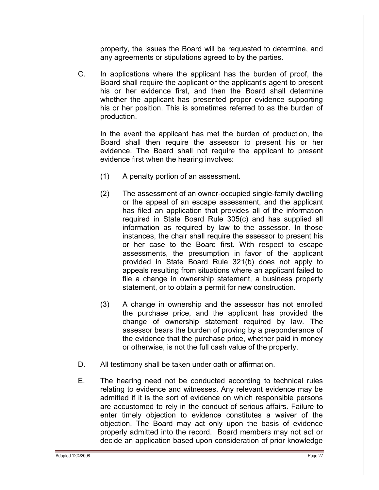property, the issues the Board will be requested to determine, and any agreements or stipulations agreed to by the parties.

C. In applications where the applicant has the burden of proof, the Board shall require the applicant or the applicant's agent to present his or her evidence first, and then the Board shall determine whether the applicant has presented proper evidence supporting his or her position. This is sometimes referred to as the burden of production.

In the event the applicant has met the burden of production, the Board shall then require the assessor to present his or her evidence. The Board shall not require the applicant to present evidence first when the hearing involves:

- (1) A penalty portion of an assessment.
- (2) The assessment of an owner-occupied single-family dwelling or the appeal of an escape assessment, and the applicant has filed an application that provides all of the information required in State Board Rule 305(c) and has supplied all information as required by law to the assessor. In those instances, the chair shall require the assessor to present his or her case to the Board first. With respect to escape assessments, the presumption in favor of the applicant provided in State Board Rule 321(b) does not apply to appeals resulting from situations where an applicant failed to file a change in ownership statement, a business property statement, or to obtain a permit for new construction.
- (3) A change in ownership and the assessor has not enrolled the purchase price, and the applicant has provided the change of ownership statement required by law. The assessor bears the burden of proving by a preponderance of the evidence that the purchase price, whether paid in money or otherwise, is not the full cash value of the property.
- D. All testimony shall be taken under oath or affirmation.
- E. The hearing need not be conducted according to technical rules relating to evidence and witnesses. Any relevant evidence may be admitted if it is the sort of evidence on which responsible persons are accustomed to rely in the conduct of serious affairs. Failure to enter timely objection to evidence constitutes a waiver of the objection. The Board may act only upon the basis of evidence properly admitted into the record. Board members may not act or decide an application based upon consideration of prior knowledge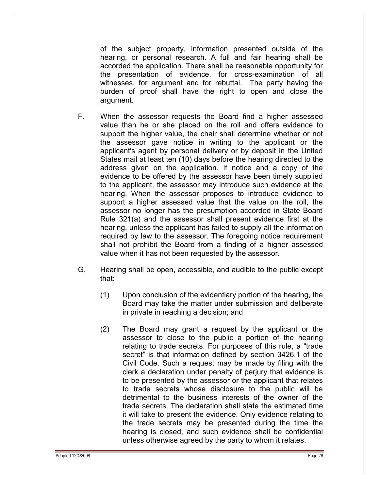of the subject property, information presented outside of the hearing, or personal research. A full and fair hearing shall be accorded the application. There shall be reasonable opportunity for the presentation of evidence, for cross-examination of all witnesses, for argument and for rebuttal. The party having the burden of proof shall have the right to open and close the argument.

- F. When the assessor requests the Board find a higher assessed value than he or she placed on the roll and offers evidence to support the higher value, the chair shall determine whether or not the assessor gave notice in writing to the applicant or the applicant's agent by personal delivery or by deposit in the United States mail at least ten (10) days before the hearing directed to the address given on the application. If notice and a copy of the evidence to be offered by the assessor have been timely supplied to the applicant, the assessor may introduce such evidence at the hearing. When the assessor proposes to introduce evidence to support a higher assessed value that the value on the roll, the assessor no longer has the presumption accorded in State Board Rule 321(a) and the assessor shall present evidence first at the hearing, unless the applicant has failed to supply all the information required by law to the assessor. The foregoing notice requirement shall not prohibit the Board from a finding of a higher assessed value when it has not been requested by the assessor.
- G. Hearing shall be open, accessible, and audible to the public except that:
	- (1) Upon conclusion of the evidentiary portion of the hearing, the Board may take the matter under submission and deliberate in private in reaching a decision; and
	- (2) The Board may grant a request by the applicant or the assessor to close to the public a portion of the hearing relating to trade secrets. For purposes of this rule, a "trade secret" is that information defined by section 3426.1 of the Civil Code. Such a request may be made by filing with the clerk a declaration under penalty of perjury that evidence is to be presented by the assessor or the applicant that relates to trade secrets whose disclosure to the public will be detrimental to the business interests of the owner of the trade secrets. The declaration shall state the estimated time it will take to present the evidence. Only evidence relating to the trade secrets may be presented during the time the hearing is closed, and such evidence shall be confidential unless otherwise agreed by the party to whom it relates.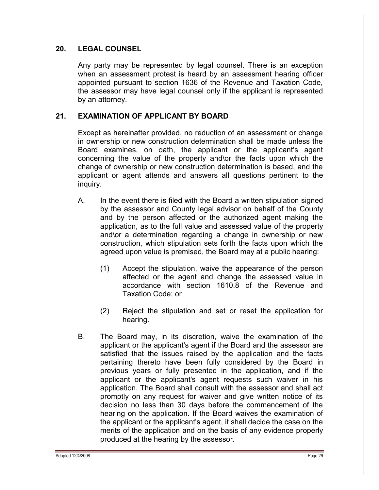#### **20. LEGAL COUNSEL**

Any party may be represented by legal counsel. There is an exception when an assessment protest is heard by an assessment hearing officer appointed pursuant to section 1636 of the Revenue and Taxation Code, the assessor may have legal counsel only if the applicant is represented by an attorney.

## **21. EXAMINATION OF APPLICANT BY BOARD**

Except as hereinafter provided, no reduction of an assessment or change in ownership or new construction determination shall be made unless the Board examines, on oath, the applicant or the applicant's agent concerning the value of the property and\or the facts upon which the change of ownership or new construction determination is based, and the applicant or agent attends and answers all questions pertinent to the inquiry.

- A. In the event there is filed with the Board a written stipulation signed by the assessor and County legal advisor on behalf of the County and by the person affected or the authorized agent making the application, as to the full value and assessed value of the property and\or a determination regarding a change in ownership or new construction, which stipulation sets forth the facts upon which the agreed upon value is premised, the Board may at a public hearing:
	- (1) Accept the stipulation, waive the appearance of the person affected or the agent and change the assessed value in accordance with section 1610.8 of the Revenue and Taxation Code; or
	- (2) Reject the stipulation and set or reset the application for hearing.
- B. The Board may, in its discretion, waive the examination of the applicant or the applicant's agent if the Board and the assessor are satisfied that the issues raised by the application and the facts pertaining thereto have been fully considered by the Board in previous years or fully presented in the application, and if the applicant or the applicant's agent requests such waiver in his application. The Board shall consult with the assessor and shall act promptly on any request for waiver and give written notice of its decision no less than 30 days before the commencement of the hearing on the application. If the Board waives the examination of the applicant or the applicant's agent, it shall decide the case on the merits of the application and on the basis of any evidence properly produced at the hearing by the assessor.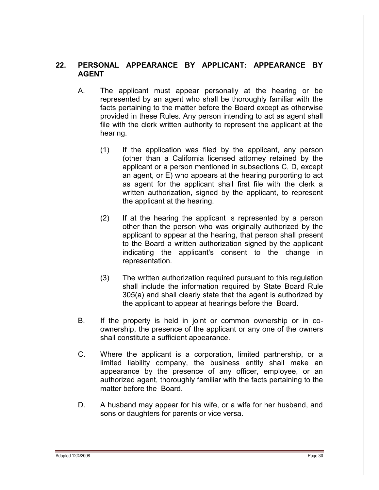#### **22. PERSONAL APPEARANCE BY APPLICANT: APPEARANCE BY AGENT**

- A. The applicant must appear personally at the hearing or be represented by an agent who shall be thoroughly familiar with the facts pertaining to the matter before the Board except as otherwise provided in these Rules. Any person intending to act as agent shall file with the clerk written authority to represent the applicant at the hearing.
	- (1) If the application was filed by the applicant, any person (other than a California licensed attorney retained by the applicant or a person mentioned in subsections C, D, except an agent, or E) who appears at the hearing purporting to act as agent for the applicant shall first file with the clerk a written authorization, signed by the applicant, to represent the applicant at the hearing.
	- (2) If at the hearing the applicant is represented by a person other than the person who was originally authorized by the applicant to appear at the hearing, that person shall present to the Board a written authorization signed by the applicant indicating the applicant's consent to the change in representation.
	- (3) The written authorization required pursuant to this regulation shall include the information required by State Board Rule 305(a) and shall clearly state that the agent is authorized by the applicant to appear at hearings before the Board.
- B. If the property is held in joint or common ownership or in coownership, the presence of the applicant or any one of the owners shall constitute a sufficient appearance.
- C. Where the applicant is a corporation, limited partnership, or a limited liability company, the business entity shall make an appearance by the presence of any officer, employee, or an authorized agent, thoroughly familiar with the facts pertaining to the matter before the Board.
- D. A husband may appear for his wife, or a wife for her husband, and sons or daughters for parents or vice versa.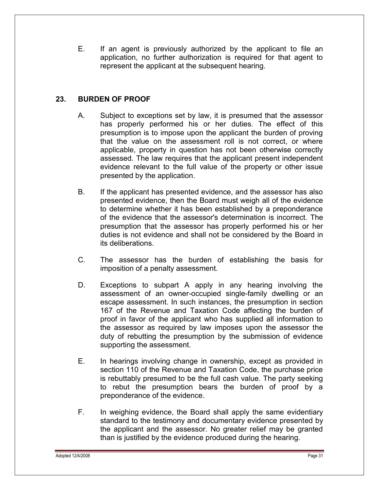E. If an agent is previously authorized by the applicant to file an application, no further authorization is required for that agent to represent the applicant at the subsequent hearing.

## **23. BURDEN OF PROOF**

- A. Subject to exceptions set by law, it is presumed that the assessor has properly performed his or her duties. The effect of this presumption is to impose upon the applicant the burden of proving that the value on the assessment roll is not correct, or where applicable, property in question has not been otherwise correctly assessed. The law requires that the applicant present independent evidence relevant to the full value of the property or other issue presented by the application.
- B. If the applicant has presented evidence, and the assessor has also presented evidence, then the Board must weigh all of the evidence to determine whether it has been established by a preponderance of the evidence that the assessor's determination is incorrect. The presumption that the assessor has properly performed his or her duties is not evidence and shall not be considered by the Board in its deliberations.
- C. The assessor has the burden of establishing the basis for imposition of a penalty assessment.
- D. Exceptions to subpart A apply in any hearing involving the assessment of an owner-occupied single-family dwelling or an escape assessment. In such instances, the presumption in section 167 of the Revenue and Taxation Code affecting the burden of proof in favor of the applicant who has supplied all information to the assessor as required by law imposes upon the assessor the duty of rebutting the presumption by the submission of evidence supporting the assessment.
- E. In hearings involving change in ownership, except as provided in section 110 of the Revenue and Taxation Code, the purchase price is rebuttably presumed to be the full cash value. The party seeking to rebut the presumption bears the burden of proof by a preponderance of the evidence.
- F. In weighing evidence, the Board shall apply the same evidentiary standard to the testimony and documentary evidence presented by the applicant and the assessor. No greater relief may be granted than is justified by the evidence produced during the hearing.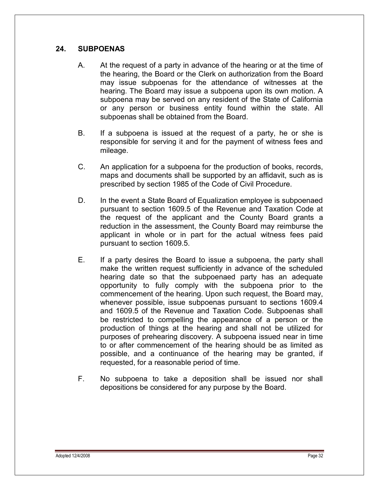## **24. SUBPOENAS**

- A. At the request of a party in advance of the hearing or at the time of the hearing, the Board or the Clerk on authorization from the Board may issue subpoenas for the attendance of witnesses at the hearing. The Board may issue a subpoena upon its own motion. A subpoena may be served on any resident of the State of California or any person or business entity found within the state. All subpoenas shall be obtained from the Board.
- B. If a subpoena is issued at the request of a party, he or she is responsible for serving it and for the payment of witness fees and mileage.
- C. An application for a subpoena for the production of books, records, maps and documents shall be supported by an affidavit, such as is prescribed by section 1985 of the Code of Civil Procedure.
- D. In the event a State Board of Equalization employee is subpoenaed pursuant to section 1609.5 of the Revenue and Taxation Code at the request of the applicant and the County Board grants a reduction in the assessment, the County Board may reimburse the applicant in whole or in part for the actual witness fees paid pursuant to section 1609.5.
- E. If a party desires the Board to issue a subpoena, the party shall make the written request sufficiently in advance of the scheduled hearing date so that the subpoenaed party has an adequate opportunity to fully comply with the subpoena prior to the commencement of the hearing. Upon such request, the Board may, whenever possible, issue subpoenas pursuant to sections 1609.4 and 1609.5 of the Revenue and Taxation Code. Subpoenas shall be restricted to compelling the appearance of a person or the production of things at the hearing and shall not be utilized for purposes of prehearing discovery. A subpoena issued near in time to or after commencement of the hearing should be as limited as possible, and a continuance of the hearing may be granted, if requested, for a reasonable period of time.
- F. No subpoena to take a deposition shall be issued nor shall depositions be considered for any purpose by the Board.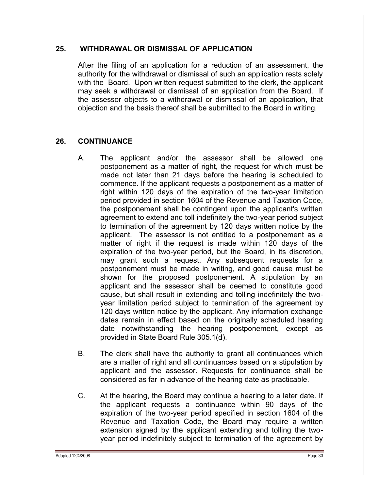## **25. WITHDRAWAL OR DISMISSAL OF APPLICATION**

After the filing of an application for a reduction of an assessment, the authority for the withdrawal or dismissal of such an application rests solely with the Board. Upon written request submitted to the clerk, the applicant may seek a withdrawal or dismissal of an application from the Board. If the assessor objects to a withdrawal or dismissal of an application, that objection and the basis thereof shall be submitted to the Board in writing.

## **26. CONTINUANCE**

- A. The applicant and/or the assessor shall be allowed one postponement as a matter of right, the request for which must be made not later than 21 days before the hearing is scheduled to commence. If the applicant requests a postponement as a matter of right within 120 days of the expiration of the two-year limitation period provided in section 1604 of the Revenue and Taxation Code, the postponement shall be contingent upon the applicant's written agreement to extend and toll indefinitely the two-year period subject to termination of the agreement by 120 days written notice by the applicant. The assessor is not entitled to a postponement as a matter of right if the request is made within 120 days of the expiration of the two-year period, but the Board, in its discretion, may grant such a request. Any subsequent requests for a postponement must be made in writing, and good cause must be shown for the proposed postponement. A stipulation by an applicant and the assessor shall be deemed to constitute good cause, but shall result in extending and tolling indefinitely the twoyear limitation period subject to termination of the agreement by 120 days written notice by the applicant. Any information exchange dates remain in effect based on the originally scheduled hearing date notwithstanding the hearing postponement, except as provided in State Board Rule 305.1(d).
- B. The clerk shall have the authority to grant all continuances which are a matter of right and all continuances based on a stipulation by applicant and the assessor. Requests for continuance shall be considered as far in advance of the hearing date as practicable.
- C. At the hearing, the Board may continue a hearing to a later date. If the applicant requests a continuance within 90 days of the expiration of the two-year period specified in section 1604 of the Revenue and Taxation Code, the Board may require a written extension signed by the applicant extending and tolling the twoyear period indefinitely subject to termination of the agreement by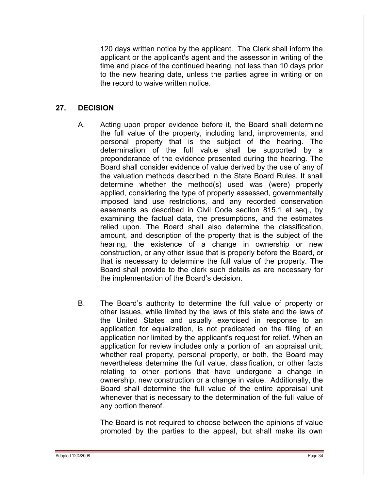120 days written notice by the applicant. The Clerk shall inform the applicant or the applicant's agent and the assessor in writing of the time and place of the continued hearing, not less than 10 days prior to the new hearing date, unless the parties agree in writing or on the record to waive written notice.

## **27. DECISION**

- A. Acting upon proper evidence before it, the Board shall determine the full value of the property, including land, improvements, and personal property that is the subject of the hearing. The determination of the full value shall be supported by a preponderance of the evidence presented during the hearing. The Board shall consider evidence of value derived by the use of any of the valuation methods described in the State Board Rules. It shall determine whether the method(s) used was (were) properly applied, considering the type of property assessed, governmentally imposed land use restrictions, and any recorded conservation easements as described in Civil Code section 815.1 et seq., by examining the factual data, the presumptions, and the estimates relied upon. The Board shall also determine the classification, amount, and description of the property that is the subject of the hearing, the existence of a change in ownership or new construction, or any other issue that is properly before the Board, or that is necessary to determine the full value of the property. The Board shall provide to the clerk such details as are necessary for the implementation of the Board's decision.
- B. The Board's authority to determine the full value of property or other issues, while limited by the laws of this state and the laws of the United States and usually exercised in response to an application for equalization, is not predicated on the filing of an application nor limited by the applicant's request for relief. When an application for review includes only a portion of an appraisal unit, whether real property, personal property, or both, the Board may nevertheless determine the full value, classification, or other facts relating to other portions that have undergone a change in ownership, new construction or a change in value. Additionally, the Board shall determine the full value of the entire appraisal unit whenever that is necessary to the determination of the full value of any portion thereof.

The Board is not required to choose between the opinions of value promoted by the parties to the appeal, but shall make its own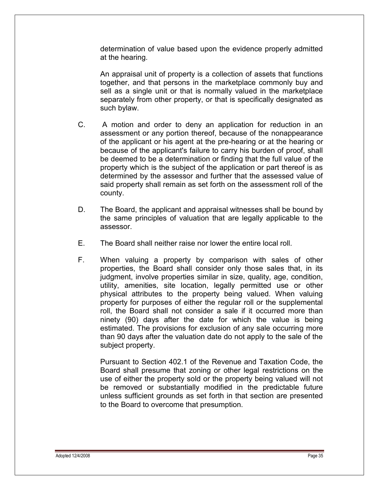determination of value based upon the evidence properly admitted at the hearing.

An appraisal unit of property is a collection of assets that functions together, and that persons in the marketplace commonly buy and sell as a single unit or that is normally valued in the marketplace separately from other property, or that is specifically designated as such bylaw.

- C. A motion and order to deny an application for reduction in an assessment or any portion thereof, because of the nonappearance of the applicant or his agent at the pre-hearing or at the hearing or because of the applicant's failure to carry his burden of proof, shall be deemed to be a determination or finding that the full value of the property which is the subject of the application or part thereof is as determined by the assessor and further that the assessed value of said property shall remain as set forth on the assessment roll of the county.
- D. The Board, the applicant and appraisal witnesses shall be bound by the same principles of valuation that are legally applicable to the assessor.
- E. The Board shall neither raise nor lower the entire local roll.
- F. When valuing a property by comparison with sales of other properties, the Board shall consider only those sales that, in its judgment, involve properties similar in size, quality, age, condition, utility, amenities, site location, legally permitted use or other physical attributes to the property being valued. When valuing property for purposes of either the regular roll or the supplemental roll, the Board shall not consider a sale if it occurred more than ninety (90) days after the date for which the value is being estimated. The provisions for exclusion of any sale occurring more than 90 days after the valuation date do not apply to the sale of the subject property.

Pursuant to Section 402.1 of the Revenue and Taxation Code, the Board shall presume that zoning or other legal restrictions on the use of either the property sold or the property being valued will not be removed or substantially modified in the predictable future unless sufficient grounds as set forth in that section are presented to the Board to overcome that presumption.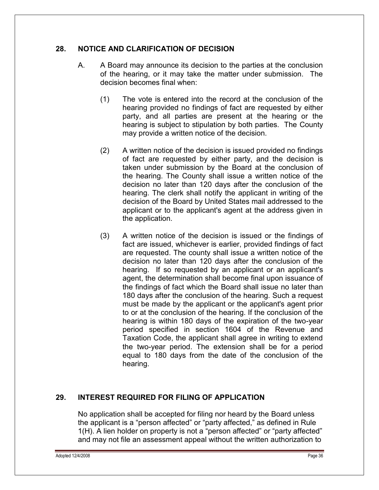## **28. NOTICE AND CLARIFICATION OF DECISION**

- A. A Board may announce its decision to the parties at the conclusion of the hearing, or it may take the matter under submission. The decision becomes final when:
	- (1) The vote is entered into the record at the conclusion of the hearing provided no findings of fact are requested by either party, and all parties are present at the hearing or the hearing is subject to stipulation by both parties. The County may provide a written notice of the decision.
	- (2) A written notice of the decision is issued provided no findings of fact are requested by either party, and the decision is taken under submission by the Board at the conclusion of the hearing. The County shall issue a written notice of the decision no later than 120 days after the conclusion of the hearing. The clerk shall notify the applicant in writing of the decision of the Board by United States mail addressed to the applicant or to the applicant's agent at the address given in the application.
	- (3) A written notice of the decision is issued or the findings of fact are issued, whichever is earlier, provided findings of fact are requested. The county shall issue a written notice of the decision no later than 120 days after the conclusion of the hearing. If so requested by an applicant or an applicant's agent, the determination shall become final upon issuance of the findings of fact which the Board shall issue no later than 180 days after the conclusion of the hearing. Such a request must be made by the applicant or the applicant's agent prior to or at the conclusion of the hearing. If the conclusion of the hearing is within 180 days of the expiration of the two-year period specified in section 1604 of the Revenue and Taxation Code, the applicant shall agree in writing to extend the two-year period. The extension shall be for a period equal to 180 days from the date of the conclusion of the hearing.

## **29. INTEREST REQUIRED FOR FILING OF APPLICATION**

No application shall be accepted for filing nor heard by the Board unless the applicant is a "person affected" or "party affected," as defined in Rule 1(H). A lien holder on property is not a "person affected" or "party affected" and may not file an assessment appeal without the written authorization to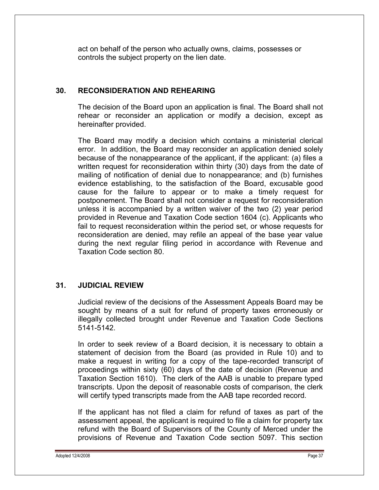act on behalf of the person who actually owns, claims, possesses or controls the subject property on the lien date.

#### **30. RECONSIDERATION AND REHEARING**

The decision of the Board upon an application is final. The Board shall not rehear or reconsider an application or modify a decision, except as hereinafter provided.

The Board may modify a decision which contains a ministerial clerical error. In addition, the Board may reconsider an application denied solely because of the nonappearance of the applicant, if the applicant: (a) files a written request for reconsideration within thirty (30) days from the date of mailing of notification of denial due to nonappearance; and (b) furnishes evidence establishing, to the satisfaction of the Board, excusable good cause for the failure to appear or to make a timely request for postponement. The Board shall not consider a request for reconsideration unless it is accompanied by a written waiver of the two (2) year period provided in Revenue and Taxation Code section 1604 (c). Applicants who fail to request reconsideration within the period set, or whose requests for reconsideration are denied, may refile an appeal of the base year value during the next regular filing period in accordance with Revenue and Taxation Code section 80.

## **31. JUDICIAL REVIEW**

Judicial review of the decisions of the Assessment Appeals Board may be sought by means of a suit for refund of property taxes erroneously or illegally collected brought under Revenue and Taxation Code Sections 5141-5142.

In order to seek review of a Board decision, it is necessary to obtain a statement of decision from the Board (as provided in Rule 10) and to make a request in writing for a copy of the tape-recorded transcript of proceedings within sixty (60) days of the date of decision (Revenue and Taxation Section 1610). The clerk of the AAB is unable to prepare typed transcripts. Upon the deposit of reasonable costs of comparison, the clerk will certify typed transcripts made from the AAB tape recorded record.

If the applicant has not filed a claim for refund of taxes as part of the assessment appeal, the applicant is required to file a claim for property tax refund with the Board of Supervisors of the County of Merced under the provisions of Revenue and Taxation Code section 5097. This section